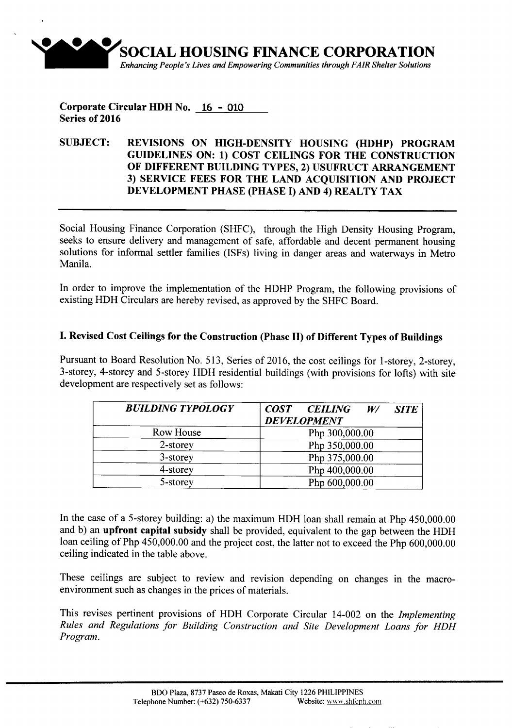

**Corporate Circular HDH No. 16 - 010 Series of 2016**

#### **SUBJECT: REVISIONS ON HIGH-DENSITY HOUSING (HDHP) PROGRAM GUIDELINES ON: 1) COST CEILINGS FOR THE CONSTRUCTION OF DIFFERENT BUILDING TYPES, 2) USUFRUCT ARRANGEMENT 3) SERVICE FEES FOR THE LAND ACQUISITION AND PROJECT DEVELOPMENT PHASE (PHASE I) AND 4) REALTY TAX**

Social Housing Finance Corporation (SHFC), through the High Density Housing Program, seeks to ensure delivery and management of safe, affordable and decent permanent housing solutions for informal settler families (ISFs) living in danger areas and waterways in Metro Manila.

In order to improve the implementation of the HDHP Program, the following provisions of existing HDH Circulars are hereby revised, as approved by the SHFC Board.

#### **I. Revised Cost Ceilings for the Construction (Phase II) of Different Types of Buildings**

Pursuant to Board Resolution No. 513, Series of 2016, the cost ceilings for 1-storey, 2-storey, 3-storey, 4-storey and 5-storey HDH residential buildings (with provisions for lofts) with site development are respectively set as follows:

| <b>BUILDING TYPOLOGY</b> | COST CEILING W/<br><b>SITE</b><br><b>DEVELOPMENT</b> |
|--------------------------|------------------------------------------------------|
| Row House                | Php 300,000.00                                       |
| 2-storey                 | Php 350,000.00                                       |
| 3-storey                 | Php 375,000.00                                       |
| 4-storey                 | Php 400,000.00                                       |
| 5-storey                 | Php 600,000.00                                       |

In the case of a 5-storey building: a) the maximum HDH loan shall remain at Php 450,000.00 and b) an **upfront capital subsidy** shall be provided, equivalent to the gap between the HDH loan ceiling of Php 450,000.00 and the project cost, the latter not to exceed the Php 600,000.00 ceiling indicated in the table above.

These ceilings are subject to review and revision depending on changes in the macroenvironment such as changes in the prices of materials.

This revises pertinent provisions of HDH Corporate Circular 14-002 on the *Implementing Rules and Regulations for Building Construction and Site Development Loans for HDH Program.*